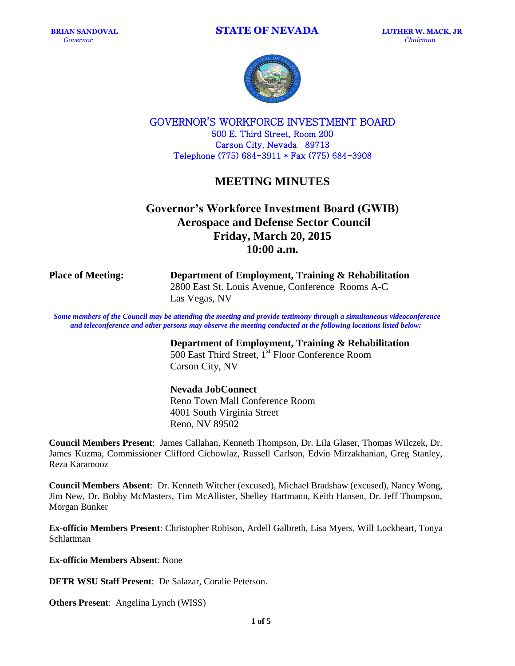

GOVERNOR'S WORKFORCE INVESTMENT BOARD 500 E. Third Street, Room 200 Carson City, Nevada 89713 Telephone (775) 684-3911 \* Fax (775) 684-3908

## **MEETING MINUTES**

# **Governor's Workforce Investment Board (GWIB) Aerospace and Defense Sector Council Friday, March 20, 2015 10:00 a.m.**

**Place of Meeting: Department of Employment, Training & Rehabilitation** 2800 East St. Louis Avenue, Conference Rooms A-C Las Vegas, NV

Some members of the Council may be attending the meeting and provide testimony through a simultaneous videoconference *and teleconference and other persons may observe the meeting conducted at the following locations listed below:*

> **Department of Employment, Training & Rehabilitation** 500 East Third Street, 1<sup>st</sup> Floor Conference Room Carson City, NV

### **Nevada JobConnect**

Reno Town Mall Conference Room 4001 South Virginia Street Reno, NV 89502

**Council Members Present**: James Callahan, Kenneth Thompson, Dr. Lila Glaser, Thomas Wilczek, Dr. James Kuzma, Commissioner Clifford Cichowlaz, Russell Carlson, Edvin Mirzakhanian, Greg Stanley, Reza Karamooz

**Council Members Absent**: Dr. Kenneth Witcher (excused), Michael Bradshaw (excused), Nancy Wong, Jim New, Dr. Bobby McMasters, Tim McAllister, Shelley Hartmann, Keith Hansen, Dr. Jeff Thompson, Morgan Bunker

**Ex-officio Members Present**: Christopher Robison, Ardell Galbreth, Lisa Myers, Will Lockheart, Tonya Schlattman

**Ex-officio Members Absent**: None

**DETR WSU Staff Present**: De Salazar, Coralie Peterson.

**Others Present**: Angelina Lynch (WISS)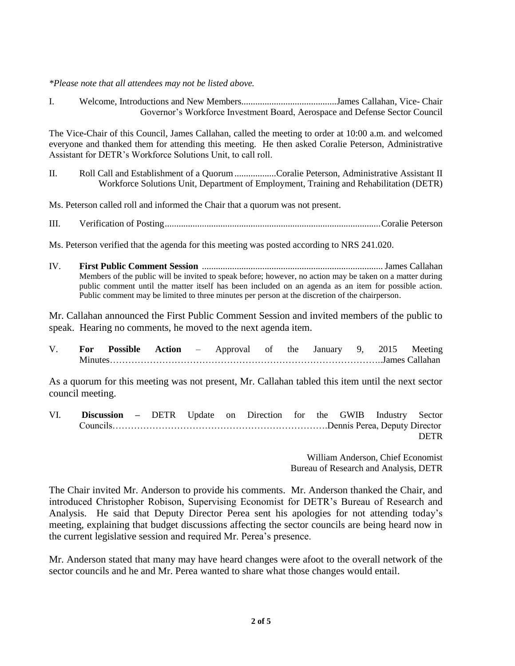*\*Please note that all attendees may not be listed above.*

I. Welcome, Introductions and New Members.........................................James Callahan, Vice- Chair Governor's Workforce Investment Board, Aerospace and Defense Sector Council

The Vice-Chair of this Council, James Callahan, called the meeting to order at 10:00 a.m. and welcomed everyone and thanked them for attending this meeting. He then asked Coralie Peterson, Administrative Assistant for DETR's Workforce Solutions Unit, to call roll.

II. Roll Call and Establishment of a Quorum..................Coralie Peterson, Administrative Assistant II Workforce Solutions Unit, Department of Employment, Training and Rehabilitation (DETR)

Ms. Peterson called roll and informed the Chair that a quorum was not present.

III. Verification of Posting.............................................................................................Coralie Peterson

Ms. Peterson verified that the agenda for this meeting was posted according to NRS 241.020.

IV. **First Public Comment Session** .............................................................................. James Callahan Members of the public will be invited to speak before; however, no action may be taken on a matter during public comment until the matter itself has been included on an agenda as an item for possible action. Public comment may be limited to three minutes per person at the discretion of the chairperson.

Mr. Callahan announced the First Public Comment Session and invited members of the public to speak. Hearing no comments, he moved to the next agenda item.

V. **For Possible Action** – Approval of the January 9, 2015 Meeting Minutes……………………………………………………………………………..James Callahan

As a quorum for this meeting was not present, Mr. Callahan tabled this item until the next sector council meeting.

VI. **Discussion –** DETR Update on Direction for the GWIB Industry Sector Councils…………………………………………………………….Dennis Perea, Deputy Director DETR

> William Anderson, Chief Economist Bureau of Research and Analysis, DETR

The Chair invited Mr. Anderson to provide his comments. Mr. Anderson thanked the Chair, and introduced Christopher Robison, Supervising Economist for DETR's Bureau of Research and Analysis. He said that Deputy Director Perea sent his apologies for not attending today's meeting, explaining that budget discussions affecting the sector councils are being heard now in the current legislative session and required Mr. Perea's presence.

Mr. Anderson stated that many may have heard changes were afoot to the overall network of the sector councils and he and Mr. Perea wanted to share what those changes would entail.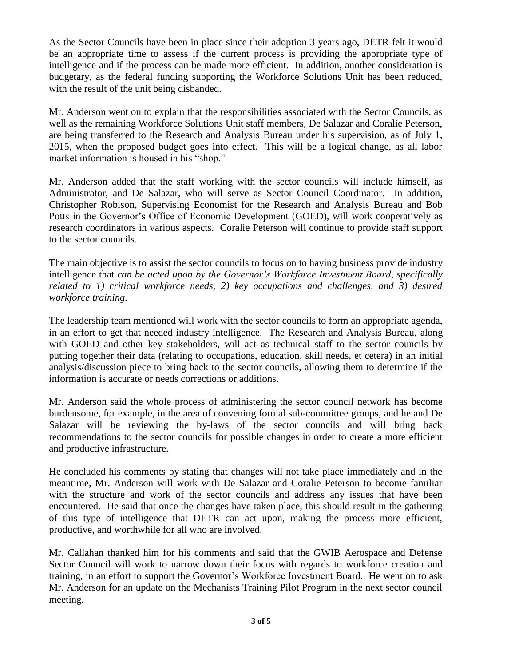As the Sector Councils have been in place since their adoption 3 years ago, DETR felt it would be an appropriate time to assess if the current process is providing the appropriate type of intelligence and if the process can be made more efficient. In addition, another consideration is budgetary, as the federal funding supporting the Workforce Solutions Unit has been reduced, with the result of the unit being disbanded.

Mr. Anderson went on to explain that the responsibilities associated with the Sector Councils, as well as the remaining Workforce Solutions Unit staff members, De Salazar and Coralie Peterson, are being transferred to the Research and Analysis Bureau under his supervision, as of July 1, 2015, when the proposed budget goes into effect. This will be a logical change, as all labor market information is housed in his "shop."

Mr. Anderson added that the staff working with the sector councils will include himself, as Administrator, and De Salazar, who will serve as Sector Council Coordinator. In addition, Christopher Robison, Supervising Economist for the Research and Analysis Bureau and Bob Potts in the Governor's Office of Economic Development (GOED), will work cooperatively as research coordinators in various aspects. Coralie Peterson will continue to provide staff support to the sector councils.

The main objective is to assist the sector councils to focus on to having business provide industry intelligence that *can be acted upon by the Governor's Workforce Investment Board*, *specifically related to 1) critical workforce needs, 2) key occupations and challenges, and 3) desired workforce training.*

The leadership team mentioned will work with the sector councils to form an appropriate agenda, in an effort to get that needed industry intelligence. The Research and Analysis Bureau, along with GOED and other key stakeholders, will act as technical staff to the sector councils by putting together their data (relating to occupations, education, skill needs, et cetera) in an initial analysis/discussion piece to bring back to the sector councils, allowing them to determine if the information is accurate or needs corrections or additions.

Mr. Anderson said the whole process of administering the sector council network has become burdensome, for example, in the area of convening formal sub-committee groups, and he and De Salazar will be reviewing the by-laws of the sector councils and will bring back recommendations to the sector councils for possible changes in order to create a more efficient and productive infrastructure.

He concluded his comments by stating that changes will not take place immediately and in the meantime, Mr. Anderson will work with De Salazar and Coralie Peterson to become familiar with the structure and work of the sector councils and address any issues that have been encountered. He said that once the changes have taken place, this should result in the gathering of this type of intelligence that DETR can act upon, making the process more efficient, productive, and worthwhile for all who are involved.

Mr. Callahan thanked him for his comments and said that the GWIB Aerospace and Defense Sector Council will work to narrow down their focus with regards to workforce creation and training, in an effort to support the Governor's Workforce Investment Board. He went on to ask Mr. Anderson for an update on the Mechanists Training Pilot Program in the next sector council meeting.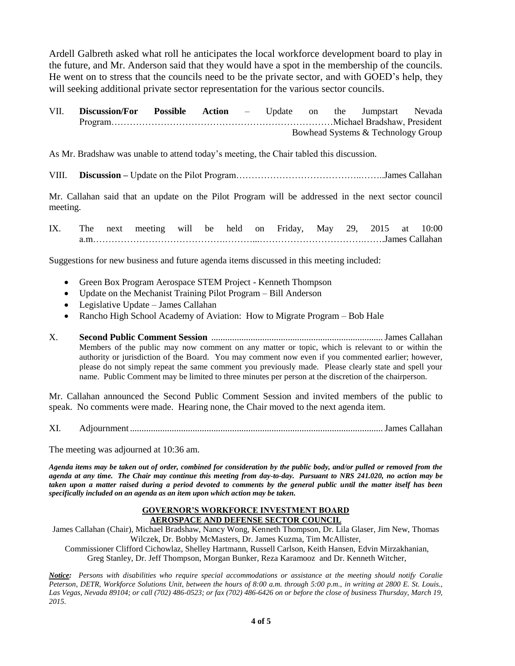Ardell Galbreth asked what roll he anticipates the local workforce development board to play in the future, and Mr. Anderson said that they would have a spot in the membership of the councils. He went on to stress that the councils need to be the private sector, and with GOED's help, they will seeking additional private sector representation for the various sector councils.

| VII. | <b>Discussion/For Possible Action</b> – Update on the Jumpstart Nevada |  |                                    |  |  |  |  |
|------|------------------------------------------------------------------------|--|------------------------------------|--|--|--|--|
|      |                                                                        |  |                                    |  |  |  |  |
|      |                                                                        |  | Bowhead Systems & Technology Group |  |  |  |  |

As Mr. Bradshaw was unable to attend today's meeting, the Chair tabled this discussion.

VIII. **Discussion –** Update on the Pilot Program…………………………………..……..James Callahan

Mr. Callahan said that an update on the Pilot Program will be addressed in the next sector council meeting.

IX. The next meeting will be held on Friday, May 29, 2015 at 10:00 a.m…………………………………….………...…………………………….…….James Callahan

Suggestions for new business and future agenda items discussed in this meeting included:

- Green Box Program Aerospace STEM Project Kenneth Thompson
- Update on the Mechanist Training Pilot Program Bill Anderson
- Legislative Update James Callahan
- Rancho High School Academy of Aviation: How to Migrate Program Bob Hale
- X. **Second Public Comment Session** ..........................................................................James Callahan Members of the public may now comment on any matter or topic, which is relevant to or within the authority or jurisdiction of the Board. You may comment now even if you commented earlier; however, please do not simply repeat the same comment you previously made. Please clearly state and spell your name. Public Comment may be limited to three minutes per person at the discretion of the chairperson.

Mr. Callahan announced the Second Public Comment Session and invited members of the public to speak. No comments were made. Hearing none, the Chair moved to the next agenda item.

XI. Adjournment.............................................................................................................James Callahan

The meeting was adjourned at 10:36 am.

*Agenda items may be taken out of order, combined for consideration by the public body, and/or pulled or removed from the agenda at any time. The Chair may continue this meeting from day-to-day. Pursuant to NRS 241.020, no action may be taken upon a matter raised during a period devoted to comments by the general public until the matter itself has been specifically included on an agenda as an item upon which action may be taken.*

#### **GOVERNOR'S WORKFORCE INVESTMENT BOARD AEROSPACE AND DEFENSE SECTOR COUNCIL**

James Callahan (Chair), Michael Bradshaw, Nancy Wong, Kenneth Thompson, Dr. Lila Glaser, Jim New, Thomas Wilczek, Dr. Bobby McMasters, Dr. James Kuzma, Tim McAllister,

Commissioner Clifford Cichowlaz, Shelley Hartmann, Russell Carlson, Keith Hansen, Edvin Mirzakhanian, Greg Stanley, Dr. Jeff Thompson, Morgan Bunker, Reza Karamooz and Dr. Kenneth Witcher,

*Notice: Persons with disabilities who require special accommodations or assistance at the meeting should notify Coralie Peterson, DETR, Workforce Solutions Unit, between the hours of 8:00 a.m. through 5:00 p.m., in writing at 2800 E. St. Louis., Las Vegas, Nevada 89104; or call (702) 486-0523; or fax (702) 486-6426 on or before the close of business Thursday, March 19, 2015.*